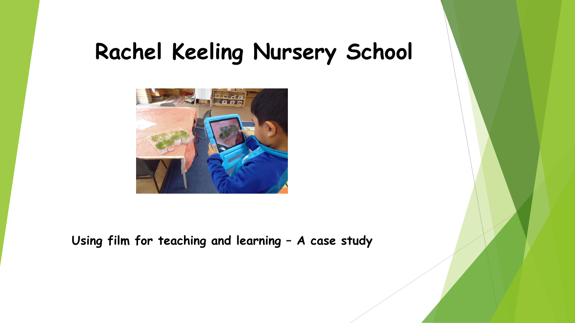## **Rachel Keeling Nursery School**



**Using film for teaching and learning – A case study**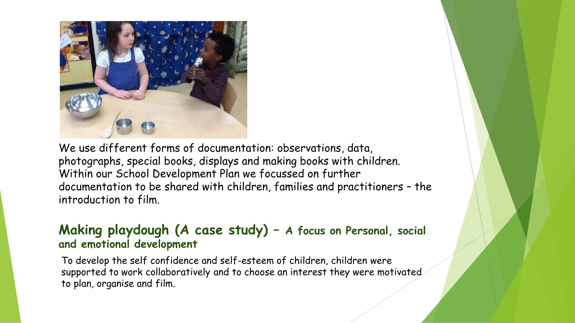

We use different forms of documentation: observations, data, photographs, special books, displays and making books with children. Within our School Development Plan we focussed on further documentation to be shared with children, families and practitioners – the introduction to film.

## **Making playdough (A case study) – A focus on Personal, social and emotional development**

To develop the self confidence and self-esteem of children, children were supported to work collaboratively and to choose an interest they were motivated to plan, organise and film.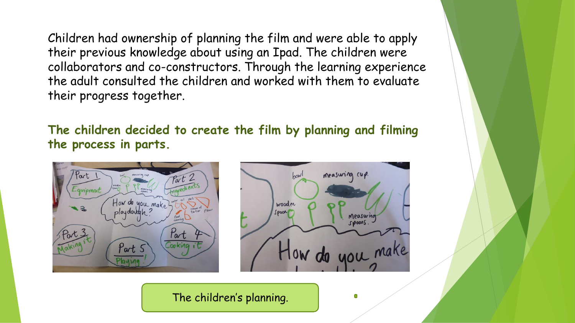Children had ownership of planning the film and were able to apply their previous knowledge about using an Ipad. The children were collaborators and co-constructors. Through the learning experience the adult consulted the children and worked with them to evaluate their progress together.

**The children decided to create the film by planning and filming the process in parts.**





The children's planning.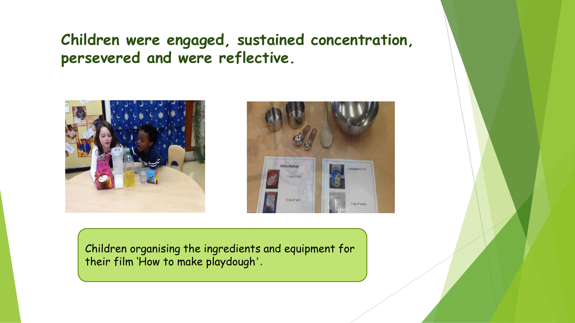## **Children were engaged, sustained concentration, persevered and were reflective.**





Children organising the ingredients and equipment for their film 'How to make playdough'.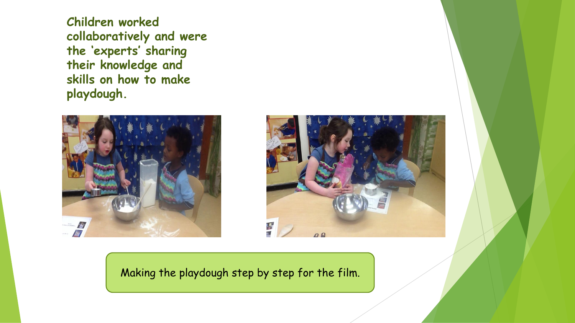**Children worked collaboratively and were the 'experts' sharing their knowledge and skills on how to make playdough.**





Making the playdough step by step for the film.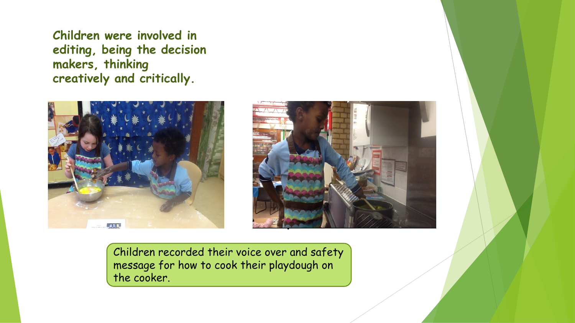**Children were involved in editing, being the decision makers, thinking creatively and critically.**





Children recorded their voice over and safety message for how to cook their playdough on the cooker.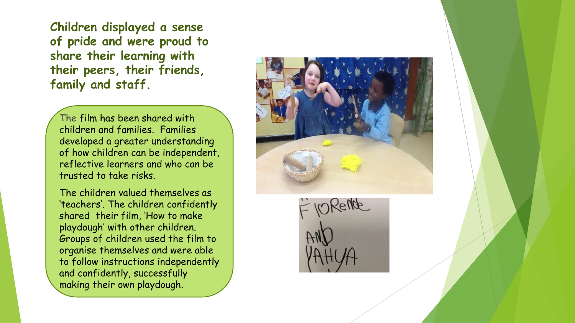**Children displayed a sense of pride and were proud to share their learning with their peers, their friends, family and staff.**

The film has been shared with children and families. Families developed a greater understanding of how children can be independent, reflective learners and who can be trusted to take risks.

The children valued themselves as 'teachers'. The children confidently shared their film, 'How to make playdough' with other children. Groups of children used the film to organise themselves and were able to follow instructions independently and confidently, successfully making their own playdough.



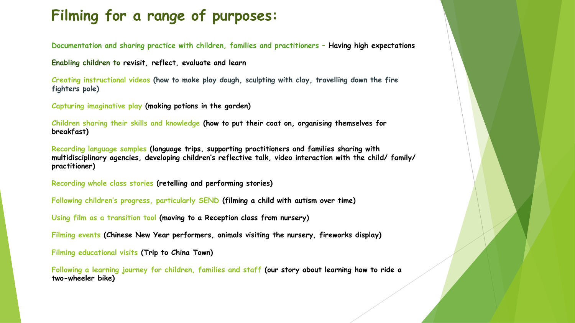## **Filming for a range of purposes:**

**Documentation and sharing practice with children, families and practitioners – Having high expectations** 

**Enabling children to revisit, reflect, evaluate and learn**

**Creating instructional videos (how to make play dough, sculpting with clay, travelling down the fire fighters pole)**

**Capturing imaginative play (making potions in the garden)**

**Children sharing their skills and knowledge (how to put their coat on, organising themselves for breakfast)**

**Recording language samples (language trips, supporting practitioners and families sharing with multidisciplinary agencies, developing children's reflective talk, video interaction with the child/ family/ practitioner)**

**Recording whole class stories (retelling and performing stories)**

**Following children's progress, particularly SEND (filming a child with autism over time)**

**Using film as a transition tool (moving to a Reception class from nursery)**

**Filming events (Chinese New Year performers, animals visiting the nursery, fireworks display)**

**Filming educational visits (Trip to China Town)**

**Following a learning journey for children, families and staff (our story about learning how to ride a two-wheeler bike)**